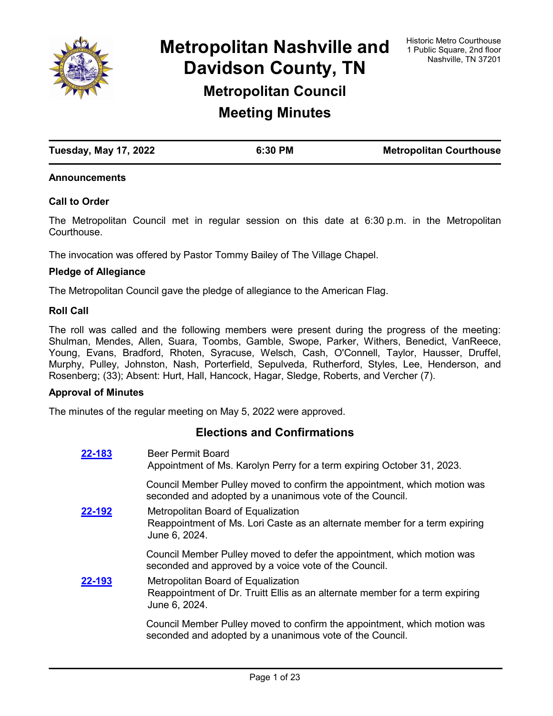

**Metropolitan Nashville and Davidson County, TN Metropolitan Council**

**Meeting Minutes**

| <b>Tuesday, May 17, 2022</b> | 6:30 PM | <b>Metropolitan Courthouse</b> |
|------------------------------|---------|--------------------------------|

### **Announcements**

### **Call to Order**

The Metropolitan Council met in regular session on this date at 6:30 p.m. in the Metropolitan **Courthouse** 

The invocation was offered by Pastor Tommy Bailey of The Village Chapel.

#### **Pledge of Allegiance**

The Metropolitan Council gave the pledge of allegiance to the American Flag.

### **Roll Call**

The roll was called and the following members were present during the progress of the meeting: Shulman, Mendes, Allen, Suara, Toombs, Gamble, Swope, Parker, Withers, Benedict, VanReece, Young, Evans, Bradford, Rhoten, Syracuse, Welsch, Cash, O'Connell, Taylor, Hausser, Druffel, Murphy, Pulley, Johnston, Nash, Porterfield, Sepulveda, Rutherford, Styles, Lee, Henderson, and Rosenberg; (33); Absent: Hurt, Hall, Hancock, Hagar, Sledge, Roberts, and Vercher (7).

### **Approval of Minutes**

The minutes of the regular meeting on May 5, 2022 were approved.

## **Elections and Confirmations**

| 22-183 | <b>Beer Permit Board</b><br>Appointment of Ms. Karolyn Perry for a term expiring October 31, 2023.                                   |
|--------|--------------------------------------------------------------------------------------------------------------------------------------|
|        | Council Member Pulley moved to confirm the appointment, which motion was<br>seconded and adopted by a unanimous vote of the Council. |
| 22-192 | Metropolitan Board of Equalization<br>Reappointment of Ms. Lori Caste as an alternate member for a term expiring<br>June 6, 2024.    |
|        | Council Member Pulley moved to defer the appointment, which motion was<br>seconded and approved by a voice vote of the Council.      |
| 22-193 | Metropolitan Board of Equalization<br>Reappointment of Dr. Truitt Ellis as an alternate member for a term expiring<br>June 6, 2024.  |
|        | Council Member Pulley moved to confirm the appointment, which motion was<br>seconded and adopted by a unanimous vote of the Council. |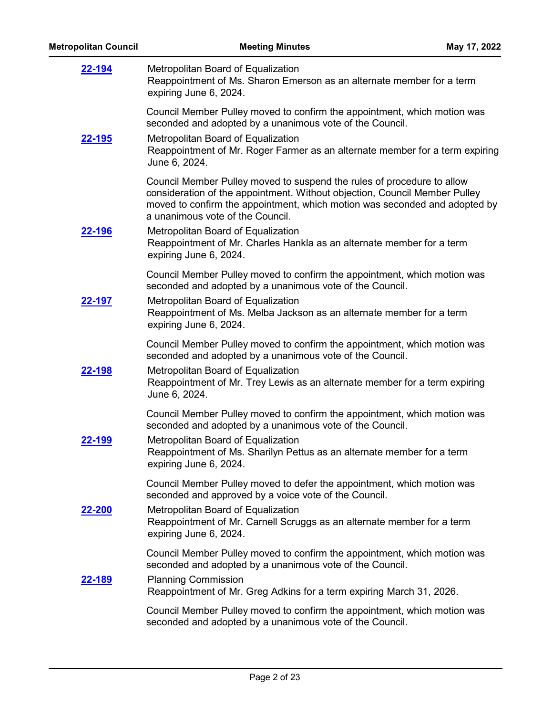| <b>Metropolitan Council</b> | <b>Meeting Minutes</b>                                                                                                                                                                                                                                                 | May 17, 2022 |
|-----------------------------|------------------------------------------------------------------------------------------------------------------------------------------------------------------------------------------------------------------------------------------------------------------------|--------------|
| 22-194                      | Metropolitan Board of Equalization<br>Reappointment of Ms. Sharon Emerson as an alternate member for a term<br>expiring June 6, 2024.                                                                                                                                  |              |
|                             | Council Member Pulley moved to confirm the appointment, which motion was<br>seconded and adopted by a unanimous vote of the Council.                                                                                                                                   |              |
| <u>22-195</u>               | Metropolitan Board of Equalization<br>Reappointment of Mr. Roger Farmer as an alternate member for a term expiring<br>June 6, 2024.                                                                                                                                    |              |
|                             | Council Member Pulley moved to suspend the rules of procedure to allow<br>consideration of the appointment. Without objection, Council Member Pulley<br>moved to confirm the appointment, which motion was seconded and adopted by<br>a unanimous vote of the Council. |              |
| <u>22-196</u>               | Metropolitan Board of Equalization<br>Reappointment of Mr. Charles Hankla as an alternate member for a term<br>expiring June 6, 2024.                                                                                                                                  |              |
|                             | Council Member Pulley moved to confirm the appointment, which motion was<br>seconded and adopted by a unanimous vote of the Council.                                                                                                                                   |              |
| 22-197                      | Metropolitan Board of Equalization<br>Reappointment of Ms. Melba Jackson as an alternate member for a term<br>expiring June 6, 2024.                                                                                                                                   |              |
|                             | Council Member Pulley moved to confirm the appointment, which motion was<br>seconded and adopted by a unanimous vote of the Council.                                                                                                                                   |              |
| 22-198                      | Metropolitan Board of Equalization<br>Reappointment of Mr. Trey Lewis as an alternate member for a term expiring<br>June 6, 2024.                                                                                                                                      |              |
|                             | Council Member Pulley moved to confirm the appointment, which motion was<br>seconded and adopted by a unanimous vote of the Council.                                                                                                                                   |              |
| 22-199                      | Metropolitan Board of Equalization<br>Reappointment of Ms. Sharilyn Pettus as an alternate member for a term<br>expiring June 6, 2024.                                                                                                                                 |              |
|                             | Council Member Pulley moved to defer the appointment, which motion was<br>seconded and approved by a voice vote of the Council.                                                                                                                                        |              |
| <u>22-200</u>               | Metropolitan Board of Equalization<br>Reappointment of Mr. Carnell Scruggs as an alternate member for a term<br>expiring June 6, 2024.                                                                                                                                 |              |
|                             | Council Member Pulley moved to confirm the appointment, which motion was<br>seconded and adopted by a unanimous vote of the Council.                                                                                                                                   |              |
| <u>22-189</u>               | <b>Planning Commission</b><br>Reappointment of Mr. Greg Adkins for a term expiring March 31, 2026.                                                                                                                                                                     |              |
|                             | Council Member Pulley moved to confirm the appointment, which motion was<br>seconded and adopted by a unanimous vote of the Council.                                                                                                                                   |              |
|                             |                                                                                                                                                                                                                                                                        |              |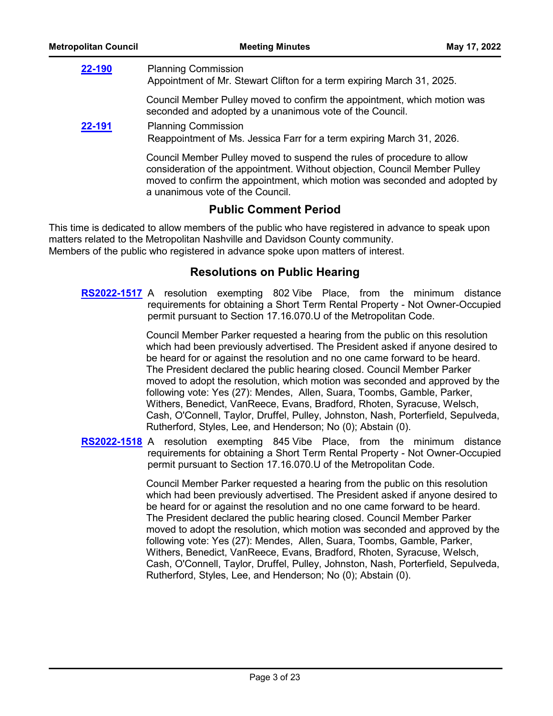| <b>Metropolitan Council</b> | <b>Meeting Minutes</b>                                                                                                                                                                                                                                                 | May 17, 2022 |
|-----------------------------|------------------------------------------------------------------------------------------------------------------------------------------------------------------------------------------------------------------------------------------------------------------------|--------------|
| 22-190                      | <b>Planning Commission</b><br>Appointment of Mr. Stewart Clifton for a term expiring March 31, 2025.                                                                                                                                                                   |              |
|                             | Council Member Pulley moved to confirm the appointment, which motion was<br>seconded and adopted by a unanimous vote of the Council.                                                                                                                                   |              |
| 22-191                      | <b>Planning Commission</b><br>Reappointment of Ms. Jessica Farr for a term expiring March 31, 2026.                                                                                                                                                                    |              |
|                             | Council Member Pulley moved to suspend the rules of procedure to allow<br>consideration of the appointment. Without objection, Council Member Pulley<br>moved to confirm the appointment, which motion was seconded and adopted by<br>a unanimous vote of the Council. |              |
|                             | <b>Public Comment Period</b>                                                                                                                                                                                                                                           |              |

This time is dedicated to allow members of the public who have registered in advance to speak upon matters related to the Metropolitan Nashville and Davidson County community. Members of the public who registered in advance spoke upon matters of interest.

# **Resolutions on Public Hearing**

**[RS2022-1517](http://nashville.legistar.com/gateway.aspx?m=l&id=/matter.aspx?key=14454)** A resolution exempting 802 Vibe Place, from the minimum distance requirements for obtaining a Short Term Rental Property - Not Owner-Occupied permit pursuant to Section 17.16.070.U of the Metropolitan Code.

> Council Member Parker requested a hearing from the public on this resolution which had been previously advertised. The President asked if anyone desired to be heard for or against the resolution and no one came forward to be heard. The President declared the public hearing closed. Council Member Parker moved to adopt the resolution, which motion was seconded and approved by the following vote: Yes (27): Mendes, Allen, Suara, Toombs, Gamble, Parker, Withers, Benedict, VanReece, Evans, Bradford, Rhoten, Syracuse, Welsch, Cash, O'Connell, Taylor, Druffel, Pulley, Johnston, Nash, Porterfield, Sepulveda, Rutherford, Styles, Lee, and Henderson; No (0); Abstain (0).

**[RS2022-1518](http://nashville.legistar.com/gateway.aspx?m=l&id=/matter.aspx?key=14455)** A resolution exempting 845 Vibe Place, from the minimum distance requirements for obtaining a Short Term Rental Property - Not Owner-Occupied permit pursuant to Section 17.16.070.U of the Metropolitan Code.

> Council Member Parker requested a hearing from the public on this resolution which had been previously advertised. The President asked if anyone desired to be heard for or against the resolution and no one came forward to be heard. The President declared the public hearing closed. Council Member Parker moved to adopt the resolution, which motion was seconded and approved by the following vote: Yes (27): Mendes, Allen, Suara, Toombs, Gamble, Parker, Withers, Benedict, VanReece, Evans, Bradford, Rhoten, Syracuse, Welsch, Cash, O'Connell, Taylor, Druffel, Pulley, Johnston, Nash, Porterfield, Sepulveda, Rutherford, Styles, Lee, and Henderson; No (0); Abstain (0).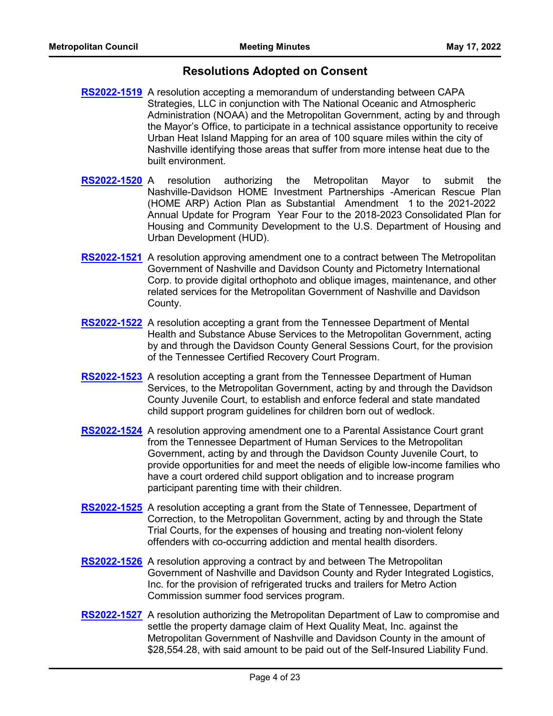## **Resolutions Adopted on Consent**

- **[RS2022-1519](http://nashville.legistar.com/gateway.aspx?m=l&id=/matter.aspx?key=14451)** A resolution accepting a memorandum of understanding between CAPA Strategies, LLC in conjunction with The National Oceanic and Atmospheric Administration (NOAA) and the Metropolitan Government, acting by and through the Mayor's Office, to participate in a technical assistance opportunity to receive Urban Heat Island Mapping for an area of 100 square miles within the city of Nashville identifying those areas that suffer from more intense heat due to the built environment.
- **[RS2022-1520](http://nashville.legistar.com/gateway.aspx?m=l&id=/matter.aspx?key=14479)** A resolution authorizing the Metropolitan Mayor to submit the Nashville-Davidson HOME Investment Partnerships -American Rescue Plan (HOME ARP) Action Plan as Substantial Amendment 1 to the 2021-2022 Annual Update for Program Year Four to the 2018-2023 Consolidated Plan for Housing and Community Development to the U.S. Department of Housing and Urban Development (HUD).
- **[RS2022-1521](http://nashville.legistar.com/gateway.aspx?m=l&id=/matter.aspx?key=14440)** A resolution approving amendment one to a contract between The Metropolitan Government of Nashville and Davidson County and Pictometry International Corp. to provide digital orthophoto and oblique images, maintenance, and other related services for the Metropolitan Government of Nashville and Davidson County.
- [RS2022-1522](http://nashville.legistar.com/gateway.aspx?m=l&id=/matter.aspx?key=14450) A resolution accepting a grant from the Tennessee Department of Mental Health and Substance Abuse Services to the Metropolitan Government, acting by and through the Davidson County General Sessions Court, for the provision of the Tennessee Certified Recovery Court Program.
- [RS2022-1523](http://nashville.legistar.com/gateway.aspx?m=l&id=/matter.aspx?key=14443) A resolution accepting a grant from the Tennessee Department of Human Services, to the Metropolitan Government, acting by and through the Davidson County Juvenile Court, to establish and enforce federal and state mandated child support program guidelines for children born out of wedlock.
- [RS2022-1524](http://nashville.legistar.com/gateway.aspx?m=l&id=/matter.aspx?key=14453) A resolution approving amendment one to a Parental Assistance Court grant from the Tennessee Department of Human Services to the Metropolitan Government, acting by and through the Davidson County Juvenile Court, to provide opportunities for and meet the needs of eligible low-income families who have a court ordered child support obligation and to increase program participant parenting time with their children.
- [RS2022-1525](http://nashville.legistar.com/gateway.aspx?m=l&id=/matter.aspx?key=14444) A resolution accepting a grant from the State of Tennessee, Department of Correction, to the Metropolitan Government, acting by and through the State Trial Courts, for the expenses of housing and treating non-violent felony offenders with co-occurring addiction and mental health disorders.
- **[RS2022-1526](http://nashville.legistar.com/gateway.aspx?m=l&id=/matter.aspx?key=14462)** A resolution approving a contract by and between The Metropolitan Government of Nashville and Davidson County and Ryder Integrated Logistics, Inc. for the provision of refrigerated trucks and trailers for Metro Action Commission summer food services program.
- [RS2022-1527](http://nashville.legistar.com/gateway.aspx?m=l&id=/matter.aspx?key=14468) A resolution authorizing the Metropolitan Department of Law to compromise and settle the property damage claim of Hext Quality Meat, Inc. against the Metropolitan Government of Nashville and Davidson County in the amount of \$28,554.28, with said amount to be paid out of the Self-Insured Liability Fund.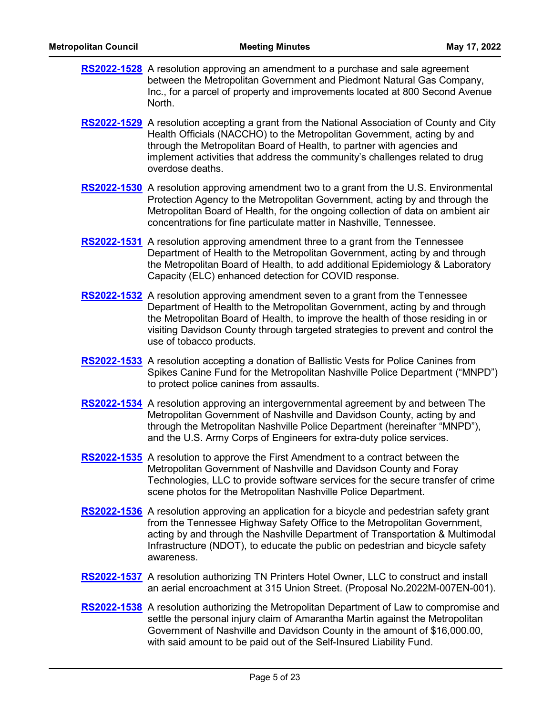| <b>RS2022-1528</b> A resolution approving an amendment to a purchase and sale agreement<br>between the Metropolitan Government and Piedmont Natural Gas Company,<br>Inc., for a parcel of property and improvements located at 800 Second Avenue<br>North.                                                                                           |
|------------------------------------------------------------------------------------------------------------------------------------------------------------------------------------------------------------------------------------------------------------------------------------------------------------------------------------------------------|
| RS2022-1529 A resolution accepting a grant from the National Association of County and City<br>Health Officials (NACCHO) to the Metropolitan Government, acting by and<br>through the Metropolitan Board of Health, to partner with agencies and<br>implement activities that address the community's challenges related to drug<br>overdose deaths. |
| <b>RS2022-1530</b> A resolution approving amendment two to a grant from the U.S. Environmental                                                                                                                                                                                                                                                       |

- Protection Agency to the Metropolitan Government, acting by and through the Metropolitan Board of Health, for the ongoing collection of data on ambient air concentrations for fine particulate matter in Nashville, Tennessee.
- [RS2022-1531](http://nashville.legistar.com/gateway.aspx?m=l&id=/matter.aspx?key=14447) A resolution approving amendment three to a grant from the Tennessee Department of Health to the Metropolitan Government, acting by and through the Metropolitan Board of Health, to add additional Epidemiology & Laboratory Capacity (ELC) enhanced detection for COVID response.
- [RS2022-1532](http://nashville.legistar.com/gateway.aspx?m=l&id=/matter.aspx?key=14449) A resolution approving amendment seven to a grant from the Tennessee Department of Health to the Metropolitan Government, acting by and through the Metropolitan Board of Health, to improve the health of those residing in or visiting Davidson County through targeted strategies to prevent and control the use of tobacco products.
- [RS2022-1533](http://nashville.legistar.com/gateway.aspx?m=l&id=/matter.aspx?key=14457) A resolution accepting a donation of Ballistic Vests for Police Canines from Spikes Canine Fund for the Metropolitan Nashville Police Department ("MNPD") to protect police canines from assaults.
- [RS2022-1534](http://nashville.legistar.com/gateway.aspx?m=l&id=/matter.aspx?key=14456) A resolution approving an intergovernmental agreement by and between The Metropolitan Government of Nashville and Davidson County, acting by and through the Metropolitan Nashville Police Department (hereinafter "MNPD"), and the U.S. Army Corps of Engineers for extra-duty police services.
- **[RS2022-1535](http://nashville.legistar.com/gateway.aspx?m=l&id=/matter.aspx?key=14463)** A resolution to approve the First Amendment to a contract between the Metropolitan Government of Nashville and Davidson County and Foray Technologies, LLC to provide software services for the secure transfer of crime scene photos for the Metropolitan Nashville Police Department.
- **[RS2022-1536](http://nashville.legistar.com/gateway.aspx?m=l&id=/matter.aspx?key=14452)** A resolution approving an application for a bicycle and pedestrian safety grant from the Tennessee Highway Safety Office to the Metropolitan Government, acting by and through the Nashville Department of Transportation & Multimodal Infrastructure (NDOT), to educate the public on pedestrian and bicycle safety awareness.
- [RS2022-1537](http://nashville.legistar.com/gateway.aspx?m=l&id=/matter.aspx?key=14466) A resolution authorizing TN Printers Hotel Owner, LLC to construct and install an aerial encroachment at 315 Union Street. (Proposal No.2022M-007EN-001).
- [RS2022-1538](http://nashville.legistar.com/gateway.aspx?m=l&id=/matter.aspx?key=14467) A resolution authorizing the Metropolitan Department of Law to compromise and settle the personal injury claim of Amarantha Martin against the Metropolitan Government of Nashville and Davidson County in the amount of \$16,000.00, with said amount to be paid out of the Self-Insured Liability Fund.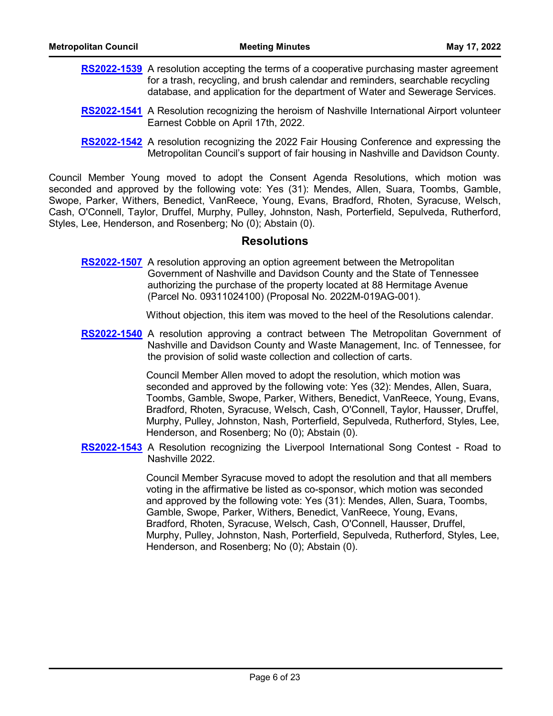- **[RS2022-1539](http://nashville.legistar.com/gateway.aspx?m=l&id=/matter.aspx?key=14441)** A resolution accepting the terms of a cooperative purchasing master agreement for a trash, recycling, and brush calendar and reminders, searchable recycling database, and application for the department of Water and Sewerage Services.
- [RS2022-1541](http://nashville.legistar.com/gateway.aspx?m=l&id=/matter.aspx?key=14481) A Resolution recognizing the heroism of Nashville International Airport volunteer Earnest Cobble on April 17th, 2022.
- **[RS2022-1542](http://nashville.legistar.com/gateway.aspx?m=l&id=/matter.aspx?key=14460)** A resolution recognizing the 2022 Fair Housing Conference and expressing the Metropolitan Council's support of fair housing in Nashville and Davidson County.

Council Member Young moved to adopt the Consent Agenda Resolutions, which motion was seconded and approved by the following vote: Yes (31): Mendes, Allen, Suara, Toombs, Gamble, Swope, Parker, Withers, Benedict, VanReece, Young, Evans, Bradford, Rhoten, Syracuse, Welsch, Cash, O'Connell, Taylor, Druffel, Murphy, Pulley, Johnston, Nash, Porterfield, Sepulveda, Rutherford, Styles, Lee, Henderson, and Rosenberg; No (0); Abstain (0).

### **Resolutions**

**[RS2022-1507](http://nashville.legistar.com/gateway.aspx?m=l&id=/matter.aspx?key=14404)** A resolution approving an option agreement between the Metropolitan Government of Nashville and Davidson County and the State of Tennessee authorizing the purchase of the property located at 88 Hermitage Avenue (Parcel No. 09311024100) (Proposal No. 2022M-019AG-001).

Without objection, this item was moved to the heel of the Resolutions calendar.

**[RS2022-1540](http://nashville.legistar.com/gateway.aspx?m=l&id=/matter.aspx?key=14435)** A resolution approving a contract between The Metropolitan Government of Nashville and Davidson County and Waste Management, Inc. of Tennessee, for the provision of solid waste collection and collection of carts.

> Council Member Allen moved to adopt the resolution, which motion was seconded and approved by the following vote: Yes (32): Mendes, Allen, Suara, Toombs, Gamble, Swope, Parker, Withers, Benedict, VanReece, Young, Evans, Bradford, Rhoten, Syracuse, Welsch, Cash, O'Connell, Taylor, Hausser, Druffel, Murphy, Pulley, Johnston, Nash, Porterfield, Sepulveda, Rutherford, Styles, Lee, Henderson, and Rosenberg; No (0); Abstain (0).

[RS2022-1543](http://nashville.legistar.com/gateway.aspx?m=l&id=/matter.aspx?key=14480) A Resolution recognizing the Liverpool International Song Contest - Road to Nashville 2022.

> Council Member Syracuse moved to adopt the resolution and that all members voting in the affirmative be listed as co-sponsor, which motion was seconded and approved by the following vote: Yes (31): Mendes, Allen, Suara, Toombs, Gamble, Swope, Parker, Withers, Benedict, VanReece, Young, Evans, Bradford, Rhoten, Syracuse, Welsch, Cash, O'Connell, Hausser, Druffel, Murphy, Pulley, Johnston, Nash, Porterfield, Sepulveda, Rutherford, Styles, Lee, Henderson, and Rosenberg; No (0); Abstain (0).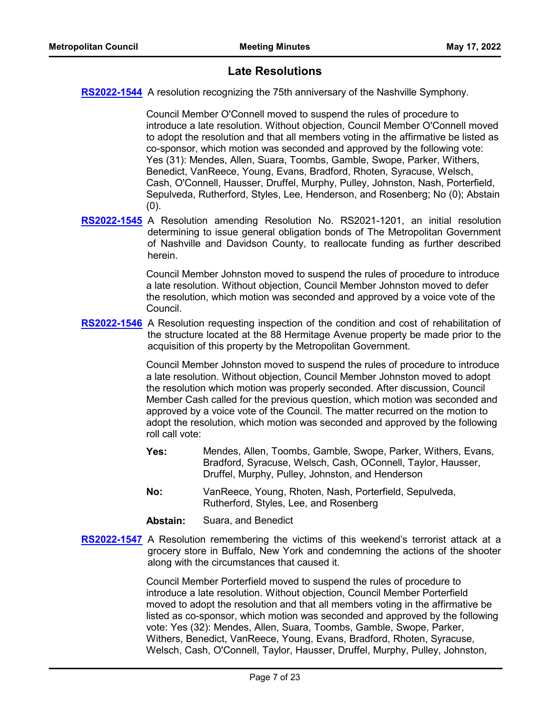## **Late Resolutions**

**[RS2022-1544](http://nashville.legistar.com/gateway.aspx?m=l&id=/matter.aspx?key=14517)** A resolution recognizing the 75th anniversary of the Nashville Symphony.

Council Member O'Connell moved to suspend the rules of procedure to introduce a late resolution. Without objection, Council Member O'Connell moved to adopt the resolution and that all members voting in the affirmative be listed as co-sponsor, which motion was seconded and approved by the following vote: Yes (31): Mendes, Allen, Suara, Toombs, Gamble, Swope, Parker, Withers, Benedict, VanReece, Young, Evans, Bradford, Rhoten, Syracuse, Welsch, Cash, O'Connell, Hausser, Druffel, Murphy, Pulley, Johnston, Nash, Porterfield, Sepulveda, Rutherford, Styles, Lee, Henderson, and Rosenberg; No (0); Abstain  $(0).$ 

[RS2022-1545](http://nashville.legistar.com/gateway.aspx?m=l&id=/matter.aspx?key=14518) A Resolution amending Resolution No. RS2021-1201, an initial resolution determining to issue general obligation bonds of The Metropolitan Government of Nashville and Davidson County, to reallocate funding as further described herein.

> Council Member Johnston moved to suspend the rules of procedure to introduce a late resolution. Without objection, Council Member Johnston moved to defer the resolution, which motion was seconded and approved by a voice vote of the Council.

[RS2022-1546](http://nashville.legistar.com/gateway.aspx?m=l&id=/matter.aspx?key=14519) A Resolution requesting inspection of the condition and cost of rehabilitation of the structure located at the 88 Hermitage Avenue property be made prior to the acquisition of this property by the Metropolitan Government.

> Council Member Johnston moved to suspend the rules of procedure to introduce a late resolution. Without objection, Council Member Johnston moved to adopt the resolution which motion was properly seconded. After discussion, Council Member Cash called for the previous question, which motion was seconded and approved by a voice vote of the Council. The matter recurred on the motion to adopt the resolution, which motion was seconded and approved by the following roll call vote:

- Mendes, Allen, Toombs, Gamble, Swope, Parker, Withers, Evans, Bradford, Syracuse, Welsch, Cash, OConnell, Taylor, Hausser, Druffel, Murphy, Pulley, Johnston, and Henderson **Yes:**
- VanReece, Young, Rhoten, Nash, Porterfield, Sepulveda, Rutherford, Styles, Lee, and Rosenberg **No:**
- **Abstain:** Suara, and Benedict
- [RS2022-1547](http://nashville.legistar.com/gateway.aspx?m=l&id=/matter.aspx?key=14520) A Resolution remembering the victims of this weekend's terrorist attack at a grocery store in Buffalo, New York and condemning the actions of the shooter along with the circumstances that caused it.

Council Member Porterfield moved to suspend the rules of procedure to introduce a late resolution. Without objection, Council Member Porterfield moved to adopt the resolution and that all members voting in the affirmative be listed as co-sponsor, which motion was seconded and approved by the following vote: Yes (32): Mendes, Allen, Suara, Toombs, Gamble, Swope, Parker, Withers, Benedict, VanReece, Young, Evans, Bradford, Rhoten, Syracuse, Welsch, Cash, O'Connell, Taylor, Hausser, Druffel, Murphy, Pulley, Johnston,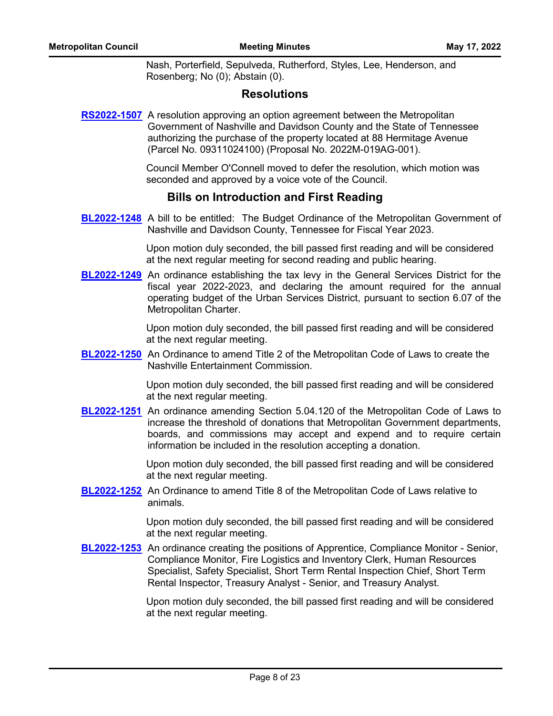Nash, Porterfield, Sepulveda, Rutherford, Styles, Lee, Henderson, and Rosenberg; No (0); Abstain (0).

## **Resolutions**

**[RS2022-1507](http://nashville.legistar.com/gateway.aspx?m=l&id=/matter.aspx?key=14404)** A resolution approving an option agreement between the Metropolitan Government of Nashville and Davidson County and the State of Tennessee authorizing the purchase of the property located at 88 Hermitage Avenue (Parcel No. 09311024100) (Proposal No. 2022M-019AG-001).

> Council Member O'Connell moved to defer the resolution, which motion was seconded and approved by a voice vote of the Council.

# **Bills on Introduction and First Reading**

**[BL2022-1248](http://nashville.legistar.com/gateway.aspx?m=l&id=/matter.aspx?key=14439)** A bill to be entitled: The Budget Ordinance of the Metropolitan Government of Nashville and Davidson County, Tennessee for Fiscal Year 2023.

> Upon motion duly seconded, the bill passed first reading and will be considered at the next regular meeting for second reading and public hearing.

**[BL2022-1249](http://nashville.legistar.com/gateway.aspx?m=l&id=/matter.aspx?key=14438)** An ordinance establishing the tax levy in the General Services District for the fiscal year 2022-2023, and declaring the amount required for the annual operating budget of the Urban Services District, pursuant to section 6.07 of the Metropolitan Charter.

> Upon motion duly seconded, the bill passed first reading and will be considered at the next regular meeting.

**[BL2022-1250](http://nashville.legistar.com/gateway.aspx?m=l&id=/matter.aspx?key=14483)** An Ordinance to amend Title 2 of the Metropolitan Code of Laws to create the Nashville Entertainment Commission.

> Upon motion duly seconded, the bill passed first reading and will be considered at the next regular meeting.

**[BL2022-1251](http://nashville.legistar.com/gateway.aspx?m=l&id=/matter.aspx?key=14484)** An ordinance amending Section 5.04.120 of the Metropolitan Code of Laws to increase the threshold of donations that Metropolitan Government departments, boards, and commissions may accept and expend and to require certain information be included in the resolution accepting a donation.

> Upon motion duly seconded, the bill passed first reading and will be considered at the next regular meeting.

**[BL2022-1252](http://nashville.legistar.com/gateway.aspx?m=l&id=/matter.aspx?key=14482)** An Ordinance to amend Title 8 of the Metropolitan Code of Laws relative to animals.

> Upon motion duly seconded, the bill passed first reading and will be considered at the next regular meeting.

**[BL2022-1253](http://nashville.legistar.com/gateway.aspx?m=l&id=/matter.aspx?key=14459)** An ordinance creating the positions of Apprentice, Compliance Monitor - Senior, Compliance Monitor, Fire Logistics and Inventory Clerk, Human Resources Specialist, Safety Specialist, Short Term Rental Inspection Chief, Short Term Rental Inspector, Treasury Analyst - Senior, and Treasury Analyst.

> Upon motion duly seconded, the bill passed first reading and will be considered at the next regular meeting.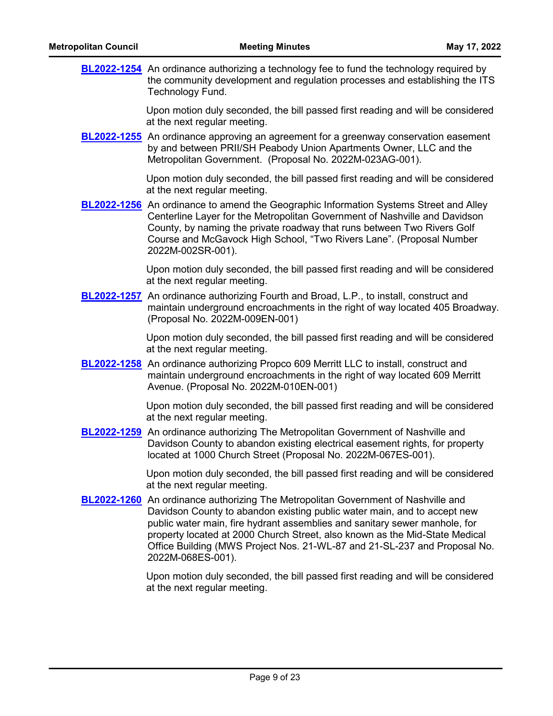| <b>BL2022-1254</b> An ordinance authorizing a technology fee to fund the technology required by<br>the community development and regulation processes and establishing the ITS<br>Technology Fund. |
|----------------------------------------------------------------------------------------------------------------------------------------------------------------------------------------------------|
|                                                                                                                                                                                                    |

Upon motion duly seconded, the bill passed first reading and will be considered at the next regular meeting.

**[BL2022-1255](http://nashville.legistar.com/gateway.aspx?m=l&id=/matter.aspx?key=14461)** An ordinance approving an agreement for a greenway conservation easement by and between PRII/SH Peabody Union Apartments Owner, LLC and the Metropolitan Government. (Proposal No. 2022M-023AG-001).

> Upon motion duly seconded, the bill passed first reading and will be considered at the next regular meeting.

**[BL2022-1256](http://nashville.legistar.com/gateway.aspx?m=l&id=/matter.aspx?key=14442)** An ordinance to amend the Geographic Information Systems Street and Alley Centerline Layer for the Metropolitan Government of Nashville and Davidson County, by naming the private roadway that runs between Two Rivers Golf Course and McGavock High School, "Two Rivers Lane". (Proposal Number 2022M-002SR-001).

> Upon motion duly seconded, the bill passed first reading and will be considered at the next regular meeting.

**[BL2022-1257](http://nashville.legistar.com/gateway.aspx?m=l&id=/matter.aspx?key=14464)** An ordinance authorizing Fourth and Broad, L.P., to install, construct and maintain underground encroachments in the right of way located 405 Broadway. (Proposal No. 2022M-009EN-001)

> Upon motion duly seconded, the bill passed first reading and will be considered at the next regular meeting.

**[BL2022-1258](http://nashville.legistar.com/gateway.aspx?m=l&id=/matter.aspx?key=14465)** An ordinance authorizing Propco 609 Merritt LLC to install, construct and maintain underground encroachments in the right of way located 609 Merritt Avenue. (Proposal No. 2022M-010EN-001)

> Upon motion duly seconded, the bill passed first reading and will be considered at the next regular meeting.

**[BL2022-1259](http://nashville.legistar.com/gateway.aspx?m=l&id=/matter.aspx?key=14446)** An ordinance authorizing The Metropolitan Government of Nashville and Davidson County to abandon existing electrical easement rights, for property located at 1000 Church Street (Proposal No. 2022M-067ES-001).

> Upon motion duly seconded, the bill passed first reading and will be considered at the next regular meeting.

**[BL2022-1260](http://nashville.legistar.com/gateway.aspx?m=l&id=/matter.aspx?key=14469)** An ordinance authorizing The Metropolitan Government of Nashville and Davidson County to abandon existing public water main, and to accept new public water main, fire hydrant assemblies and sanitary sewer manhole, for property located at 2000 Church Street, also known as the Mid-State Medical Office Building (MWS Project Nos. 21-WL-87 and 21-SL-237 and Proposal No. 2022M-068ES-001).

> Upon motion duly seconded, the bill passed first reading and will be considered at the next regular meeting.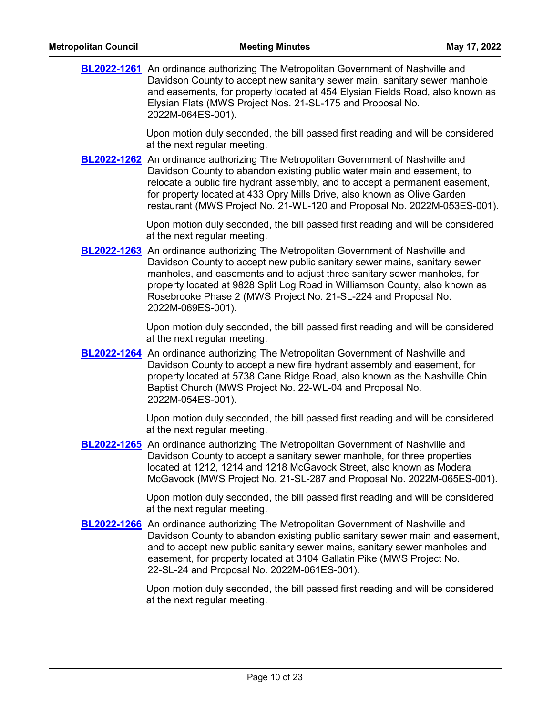**[BL2022-1261](http://nashville.legistar.com/gateway.aspx?m=l&id=/matter.aspx?key=14470)** An ordinance authorizing The Metropolitan Government of Nashville and Davidson County to accept new sanitary sewer main, sanitary sewer manhole and easements, for property located at 454 Elysian Fields Road, also known as Elysian Flats (MWS Project Nos. 21-SL-175 and Proposal No. 2022M-064ES-001).

> Upon motion duly seconded, the bill passed first reading and will be considered at the next regular meeting.

**[BL2022-1262](http://nashville.legistar.com/gateway.aspx?m=l&id=/matter.aspx?key=14471)** An ordinance authorizing The Metropolitan Government of Nashville and Davidson County to abandon existing public water main and easement, to relocate a public fire hydrant assembly, and to accept a permanent easement, for property located at 433 Opry Mills Drive, also known as Olive Garden restaurant (MWS Project No. 21-WL-120 and Proposal No. 2022M-053ES-001).

> Upon motion duly seconded, the bill passed first reading and will be considered at the next regular meeting.

**[BL2022-1263](http://nashville.legistar.com/gateway.aspx?m=l&id=/matter.aspx?key=14472)** An ordinance authorizing The Metropolitan Government of Nashville and Davidson County to accept new public sanitary sewer mains, sanitary sewer manholes, and easements and to adjust three sanitary sewer manholes, for property located at 9828 Split Log Road in Williamson County, also known as Rosebrooke Phase 2 (MWS Project No. 21-SL-224 and Proposal No. 2022M-069ES-001).

> Upon motion duly seconded, the bill passed first reading and will be considered at the next regular meeting.

**[BL2022-1264](http://nashville.legistar.com/gateway.aspx?m=l&id=/matter.aspx?key=14473)** An ordinance authorizing The Metropolitan Government of Nashville and Davidson County to accept a new fire hydrant assembly and easement, for property located at 5738 Cane Ridge Road, also known as the Nashville Chin Baptist Church (MWS Project No. 22-WL-04 and Proposal No. 2022M-054ES-001).

> Upon motion duly seconded, the bill passed first reading and will be considered at the next regular meeting.

**[BL2022-1265](http://nashville.legistar.com/gateway.aspx?m=l&id=/matter.aspx?key=14474)** An ordinance authorizing The Metropolitan Government of Nashville and Davidson County to accept a sanitary sewer manhole, for three properties located at 1212, 1214 and 1218 McGavock Street, also known as Modera McGavock (MWS Project No. 21-SL-287 and Proposal No. 2022M-065ES-001).

> Upon motion duly seconded, the bill passed first reading and will be considered at the next regular meeting.

**[BL2022-1266](http://nashville.legistar.com/gateway.aspx?m=l&id=/matter.aspx?key=14475)** An ordinance authorizing The Metropolitan Government of Nashville and Davidson County to abandon existing public sanitary sewer main and easement, and to accept new public sanitary sewer mains, sanitary sewer manholes and easement, for property located at 3104 Gallatin Pike (MWS Project No. 22-SL-24 and Proposal No. 2022M-061ES-001).

> Upon motion duly seconded, the bill passed first reading and will be considered at the next regular meeting.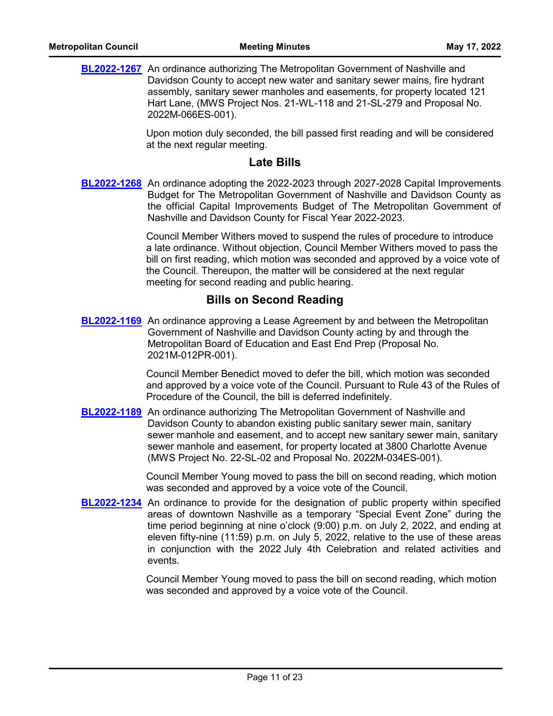**[BL2022-1267](http://nashville.legistar.com/gateway.aspx?m=l&id=/matter.aspx?key=14476)** An ordinance authorizing The Metropolitan Government of Nashville and Davidson County to accept new water and sanitary sewer mains, fire hydrant assembly, sanitary sewer manholes and easements, for property located 121 Hart Lane, (MWS Project Nos. 21-WL-118 and 21-SL-279 and Proposal No. 2022M-066ES-001).

> Upon motion duly seconded, the bill passed first reading and will be considered at the next regular meeting.

### **Late Bills**

[BL2022-1268](http://nashville.legistar.com/gateway.aspx?m=l&id=/matter.aspx?key=14516) An ordinance adopting the 2022-2023 through 2027-2028 Capital Improvements Budget for The Metropolitan Government of Nashville and Davidson County as the official Capital Improvements Budget of The Metropolitan Government of Nashville and Davidson County for Fiscal Year 2022-2023.

> Council Member Withers moved to suspend the rules of procedure to introduce a late ordinance. Without objection, Council Member Withers moved to pass the bill on first reading, which motion was seconded and approved by a voice vote of the Council. Thereupon, the matter will be considered at the next regular meeting for second reading and public hearing.

## **Bills on Second Reading**

**[BL2022-1169](http://nashville.legistar.com/gateway.aspx?m=l&id=/matter.aspx?key=14261)** An ordinance approving a Lease Agreement by and between the Metropolitan Government of Nashville and Davidson County acting by and through the Metropolitan Board of Education and East End Prep (Proposal No. 2021M-012PR-001).

> Council Member Benedict moved to defer the bill, which motion was seconded and approved by a voice vote of the Council. Pursuant to Rule 43 of the Rules of Procedure of the Council, the bill is deferred indefinitely.

**[BL2022-1189](http://nashville.legistar.com/gateway.aspx?m=l&id=/matter.aspx?key=14282)** An ordinance authorizing The Metropolitan Government of Nashville and Davidson County to abandon existing public sanitary sewer main, sanitary sewer manhole and easement, and to accept new sanitary sewer main, sanitary sewer manhole and easement, for property located at 3800 Charlotte Avenue (MWS Project No. 22-SL-02 and Proposal No. 2022M-034ES-001).

> Council Member Young moved to pass the bill on second reading, which motion was seconded and approved by a voice vote of the Council.

**[BL2022-1234](http://nashville.legistar.com/gateway.aspx?m=l&id=/matter.aspx?key=14433)** An ordinance to provide for the designation of public property within specified areas of downtown Nashville as a temporary "Special Event Zone" during the time period beginning at nine o'clock (9:00) p.m. on July 2, 2022, and ending at eleven fifty-nine (11:59) p.m. on July 5, 2022, relative to the use of these areas in conjunction with the 2022 July 4th Celebration and related activities and events.

> Council Member Young moved to pass the bill on second reading, which motion was seconded and approved by a voice vote of the Council.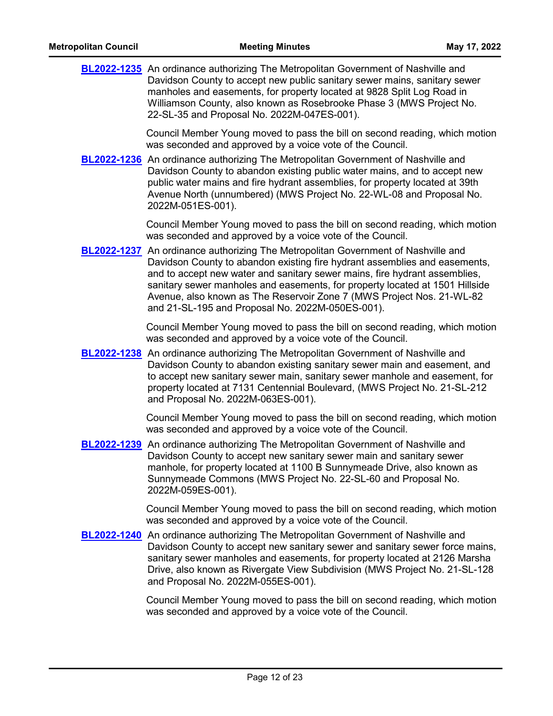| <b>BL2022-1235</b> An ordinance authorizing The Metropolitan Government of Nashville and |
|------------------------------------------------------------------------------------------|
| Davidson County to accept new public sanitary sewer mains, sanitary sewer                |
| manholes and easements, for property located at 9828 Split Log Road in                   |
| Williamson County, also known as Rosebrooke Phase 3 (MWS Project No.                     |
| 22-SL-35 and Proposal No. 2022M-047ES-001).                                              |

Council Member Young moved to pass the bill on second reading, which motion was seconded and approved by a voice vote of the Council.

**[BL2022-1236](http://nashville.legistar.com/gateway.aspx?m=l&id=/matter.aspx?key=14407)** An ordinance authorizing The Metropolitan Government of Nashville and Davidson County to abandon existing public water mains, and to accept new public water mains and fire hydrant assemblies, for property located at 39th Avenue North (unnumbered) (MWS Project No. 22-WL-08 and Proposal No. 2022M-051ES-001).

> Council Member Young moved to pass the bill on second reading, which motion was seconded and approved by a voice vote of the Council.

**[BL2022-1237](http://nashville.legistar.com/gateway.aspx?m=l&id=/matter.aspx?key=14408)** An ordinance authorizing The Metropolitan Government of Nashville and Davidson County to abandon existing fire hydrant assemblies and easements, and to accept new water and sanitary sewer mains, fire hydrant assemblies, sanitary sewer manholes and easements, for property located at 1501 Hillside Avenue, also known as The Reservoir Zone 7 (MWS Project Nos. 21-WL-82 and 21-SL-195 and Proposal No. 2022M-050ES-001).

> Council Member Young moved to pass the bill on second reading, which motion was seconded and approved by a voice vote of the Council.

**[BL2022-1238](http://nashville.legistar.com/gateway.aspx?m=l&id=/matter.aspx?key=14413)** An ordinance authorizing The Metropolitan Government of Nashville and Davidson County to abandon existing sanitary sewer main and easement, and to accept new sanitary sewer main, sanitary sewer manhole and easement, for property located at 7131 Centennial Boulevard, (MWS Project No. 21-SL-212 and Proposal No. 2022M-063ES-001).

> Council Member Young moved to pass the bill on second reading, which motion was seconded and approved by a voice vote of the Council.

**[BL2022-1239](http://nashville.legistar.com/gateway.aspx?m=l&id=/matter.aspx?key=14414)** An ordinance authorizing The Metropolitan Government of Nashville and Davidson County to accept new sanitary sewer main and sanitary sewer manhole, for property located at 1100 B Sunnymeade Drive, also known as Sunnymeade Commons (MWS Project No. 22-SL-60 and Proposal No. 2022M-059ES-001).

> Council Member Young moved to pass the bill on second reading, which motion was seconded and approved by a voice vote of the Council.

**[BL2022-1240](http://nashville.legistar.com/gateway.aspx?m=l&id=/matter.aspx?key=14415)** An ordinance authorizing The Metropolitan Government of Nashville and Davidson County to accept new sanitary sewer and sanitary sewer force mains, sanitary sewer manholes and easements, for property located at 2126 Marsha Drive, also known as Rivergate View Subdivision (MWS Project No. 21-SL-128 and Proposal No. 2022M-055ES-001).

> Council Member Young moved to pass the bill on second reading, which motion was seconded and approved by a voice vote of the Council.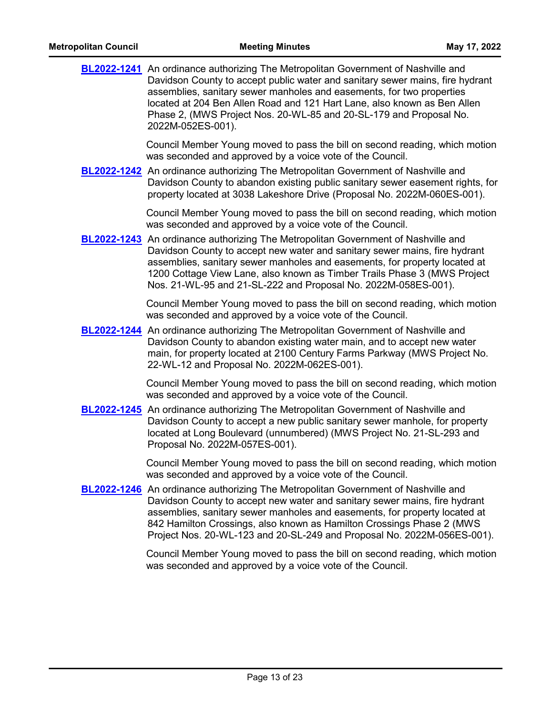| <b>Metropolitan Council</b> | <b>Meeting Minutes</b>                                                                                                                                                                                                                                                                                                                                                                                                    | May 17, 2022 |
|-----------------------------|---------------------------------------------------------------------------------------------------------------------------------------------------------------------------------------------------------------------------------------------------------------------------------------------------------------------------------------------------------------------------------------------------------------------------|--------------|
|                             | <b>BL2022-1241</b> An ordinance authorizing The Metropolitan Government of Nashville and<br>Davidson County to accept public water and sanitary sewer mains, fire hydrant<br>assemblies, sanitary sewer manholes and easements, for two properties<br>located at 204 Ben Allen Road and 121 Hart Lane, also known as Ben Allen<br>Phase 2, (MWS Project Nos. 20-WL-85 and 20-SL-179 and Proposal No.<br>2022M-052ES-001). |              |
|                             | Council Member Young moved to pass the bill on second reading, which motion<br>was seconded and approved by a voice vote of the Council.                                                                                                                                                                                                                                                                                  |              |
|                             | <b>BL2022-1242</b> An ordinance authorizing The Metropolitan Government of Nashville and<br>Davidson County to abandon existing public sanitary sewer easement rights, for<br>property located at 3038 Lakeshore Drive (Proposal No. 2022M-060ES-001).                                                                                                                                                                    |              |
|                             | Council Member Young moved to pass the bill on second reading, which motion<br>was seconded and approved by a voice vote of the Council.                                                                                                                                                                                                                                                                                  |              |
|                             | <b>BL2022-1243</b> An ordinance authorizing The Metropolitan Government of Nashville and<br>Davidson County to accept new water and sanitary sewer mains, fire hydrant<br>assemblies, sanitary sewer manholes and easements, for property located at<br>1200 Cottage View Lane, also known as Timber Trails Phase 3 (MWS Project<br>Nos. 21-WL-95 and 21-SL-222 and Proposal No. 2022M-058ES-001).                        |              |
|                             | Council Member Young moved to pass the bill on second reading, which motion<br>was seconded and approved by a voice vote of the Council.                                                                                                                                                                                                                                                                                  |              |
|                             | <b>BL2022-1244</b> An ordinance authorizing The Metropolitan Government of Nashville and<br>Davidson County to abandon existing water main, and to accept new water<br>main, for property located at 2100 Century Farms Parkway (MWS Project No.<br>22-WL-12 and Proposal No. 2022M-062ES-001).                                                                                                                           |              |
|                             | Council Member Young moved to pass the bill on second reading, which motion<br>was seconded and approved by a voice vote of the Council.                                                                                                                                                                                                                                                                                  |              |
|                             | <b>BL2022-1245</b> An ordinance authorizing The Metropolitan Government of Nashville and<br>Davidson County to accept a new public sanitary sewer manhole, for property<br>located at Long Boulevard (unnumbered) (MWS Project No. 21-SL-293 and<br>Proposal No. 2022M-057ES-001).                                                                                                                                        |              |
|                             | Council Member Young moved to pass the bill on second reading, which motion<br>was seconded and approved by a voice vote of the Council.                                                                                                                                                                                                                                                                                  |              |
|                             | <b>BL2022-1246</b> An ordinance authorizing The Metropolitan Government of Nashville and<br>Davidson County to accept new water and sanitary sewer mains, fire hydrant<br>assemblies, sanitary sewer manholes and easements, for property located at<br>842 Hamilton Crossings, also known as Hamilton Crossings Phase 2 (MWS<br>Project Nos. 20-WL-123 and 20-SL-249 and Proposal No. 2022M-056ES-001).                  |              |
|                             | Council Member Young moved to pass the bill on second reading, which motion<br>was seconded and approved by a voice vote of the Council.                                                                                                                                                                                                                                                                                  |              |
|                             |                                                                                                                                                                                                                                                                                                                                                                                                                           |              |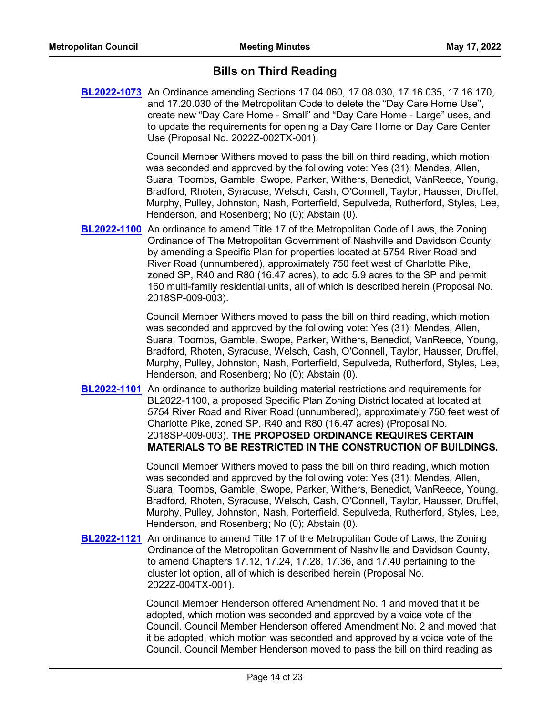## **Bills on Third Reading**

**[BL2022-1073](http://nashville.legistar.com/gateway.aspx?m=l&id=/matter.aspx?key=14044)** An Ordinance amending Sections 17.04.060, 17.08.030, 17.16.035, 17.16.170, and 17.20.030 of the Metropolitan Code to delete the "Day Care Home Use", create new "Day Care Home - Small" and "Day Care Home - Large" uses, and to update the requirements for opening a Day Care Home or Day Care Center Use (Proposal No. 2022Z-002TX-001).

> Council Member Withers moved to pass the bill on third reading, which motion was seconded and approved by the following vote: Yes (31): Mendes, Allen, Suara, Toombs, Gamble, Swope, Parker, Withers, Benedict, VanReece, Young, Bradford, Rhoten, Syracuse, Welsch, Cash, O'Connell, Taylor, Hausser, Druffel, Murphy, Pulley, Johnston, Nash, Porterfield, Sepulveda, Rutherford, Styles, Lee, Henderson, and Rosenberg; No (0); Abstain (0).

**[BL2022-1100](http://nashville.legistar.com/gateway.aspx?m=l&id=/matter.aspx?key=14083)** An ordinance to amend Title 17 of the Metropolitan Code of Laws, the Zoning Ordinance of The Metropolitan Government of Nashville and Davidson County, by amending a Specific Plan for properties located at 5754 River Road and River Road (unnumbered), approximately 750 feet west of Charlotte Pike, zoned SP, R40 and R80 (16.47 acres), to add 5.9 acres to the SP and permit 160 multi-family residential units, all of which is described herein (Proposal No. 2018SP-009-003).

> Council Member Withers moved to pass the bill on third reading, which motion was seconded and approved by the following vote: Yes (31): Mendes, Allen, Suara, Toombs, Gamble, Swope, Parker, Withers, Benedict, VanReece, Young, Bradford, Rhoten, Syracuse, Welsch, Cash, O'Connell, Taylor, Hausser, Druffel, Murphy, Pulley, Johnston, Nash, Porterfield, Sepulveda, Rutherford, Styles, Lee, Henderson, and Rosenberg; No (0); Abstain (0).

**[BL2022-1101](http://nashville.legistar.com/gateway.aspx?m=l&id=/matter.aspx?key=14084)** An ordinance to authorize building material restrictions and requirements for BL2022-1100, a proposed Specific Plan Zoning District located at located at 5754 River Road and River Road (unnumbered), approximately 750 feet west of Charlotte Pike, zoned SP, R40 and R80 (16.47 acres) (Proposal No. 2018SP-009-003). **THE PROPOSED ORDINANCE REQUIRES CERTAIN MATERIALS TO BE RESTRICTED IN THE CONSTRUCTION OF BUILDINGS.**

> Council Member Withers moved to pass the bill on third reading, which motion was seconded and approved by the following vote: Yes (31): Mendes, Allen, Suara, Toombs, Gamble, Swope, Parker, Withers, Benedict, VanReece, Young, Bradford, Rhoten, Syracuse, Welsch, Cash, O'Connell, Taylor, Hausser, Druffel, Murphy, Pulley, Johnston, Nash, Porterfield, Sepulveda, Rutherford, Styles, Lee, Henderson, and Rosenberg; No (0); Abstain (0).

**[BL2022-1121](http://nashville.legistar.com/gateway.aspx?m=l&id=/matter.aspx?key=14213)** An ordinance to amend Title 17 of the Metropolitan Code of Laws, the Zoning Ordinance of the Metropolitan Government of Nashville and Davidson County, to amend Chapters 17.12, 17.24, 17.28, 17.36, and 17.40 pertaining to the cluster lot option, all of which is described herein (Proposal No. 2022Z-004TX-001).

> Council Member Henderson offered Amendment No. 1 and moved that it be adopted, which motion was seconded and approved by a voice vote of the Council. Council Member Henderson offered Amendment No. 2 and moved that it be adopted, which motion was seconded and approved by a voice vote of the Council. Council Member Henderson moved to pass the bill on third reading as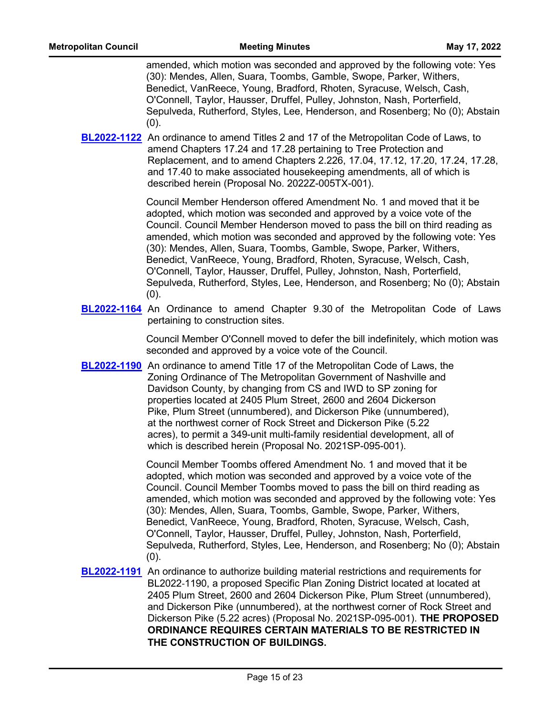amended, which motion was seconded and approved by the following vote: Yes (30): Mendes, Allen, Suara, Toombs, Gamble, Swope, Parker, Withers, Benedict, VanReece, Young, Bradford, Rhoten, Syracuse, Welsch, Cash, O'Connell, Taylor, Hausser, Druffel, Pulley, Johnston, Nash, Porterfield, Sepulveda, Rutherford, Styles, Lee, Henderson, and Rosenberg; No (0); Abstain  $(0).$ 

**[BL2022-1122](http://nashville.legistar.com/gateway.aspx?m=l&id=/matter.aspx?key=14204)** An ordinance to amend Titles 2 and 17 of the Metropolitan Code of Laws, to amend Chapters 17.24 and 17.28 pertaining to Tree Protection and Replacement, and to amend Chapters 2.226, 17.04, 17.12, 17.20, 17.24, 17.28, and 17.40 to make associated housekeeping amendments, all of which is described herein (Proposal No. 2022Z-005TX-001).

> Council Member Henderson offered Amendment No. 1 and moved that it be adopted, which motion was seconded and approved by a voice vote of the Council. Council Member Henderson moved to pass the bill on third reading as amended, which motion was seconded and approved by the following vote: Yes (30): Mendes, Allen, Suara, Toombs, Gamble, Swope, Parker, Withers, Benedict, VanReece, Young, Bradford, Rhoten, Syracuse, Welsch, Cash, O'Connell, Taylor, Hausser, Druffel, Pulley, Johnston, Nash, Porterfield, Sepulveda, Rutherford, Styles, Lee, Henderson, and Rosenberg; No (0); Abstain (0).

**[BL2022-1164](http://nashville.legistar.com/gateway.aspx?m=l&id=/matter.aspx?key=14241)** An Ordinance to amend Chapter 9.30 of the Metropolitan Code of Laws pertaining to construction sites.

> Council Member O'Connell moved to defer the bill indefinitely, which motion was seconded and approved by a voice vote of the Council.

**[BL2022-1190](http://nashville.legistar.com/gateway.aspx?m=l&id=/matter.aspx?key=14303)** An ordinance to amend Title 17 of the Metropolitan Code of Laws, the Zoning Ordinance of The Metropolitan Government of Nashville and Davidson County, by changing from CS and IWD to SP zoning for properties located at 2405 Plum Street, 2600 and 2604 Dickerson Pike, Plum Street (unnumbered), and Dickerson Pike (unnumbered), at the northwest corner of Rock Street and Dickerson Pike (5.22 acres), to permit a 349-unit multi-family residential development, all of which is described herein (Proposal No. 2021SP-095-001).

> Council Member Toombs offered Amendment No. 1 and moved that it be adopted, which motion was seconded and approved by a voice vote of the Council. Council Member Toombs moved to pass the bill on third reading as amended, which motion was seconded and approved by the following vote: Yes (30): Mendes, Allen, Suara, Toombs, Gamble, Swope, Parker, Withers, Benedict, VanReece, Young, Bradford, Rhoten, Syracuse, Welsch, Cash, O'Connell, Taylor, Hausser, Druffel, Pulley, Johnston, Nash, Porterfield, Sepulveda, Rutherford, Styles, Lee, Henderson, and Rosenberg; No (0); Abstain (0).

**[BL2022-1191](http://nashville.legistar.com/gateway.aspx?m=l&id=/matter.aspx?key=14304)** An ordinance to authorize building material restrictions and requirements for BL2022-1190, a proposed Specific Plan Zoning District located at located at 2405 Plum Street, 2600 and 2604 Dickerson Pike, Plum Street (unnumbered), and Dickerson Pike (unnumbered), at the northwest corner of Rock Street and Dickerson Pike (5.22 acres) (Proposal No. 2021SP-095-001). **THE PROPOSED ORDINANCE REQUIRES CERTAIN MATERIALS TO BE RESTRICTED IN THE CONSTRUCTION OF BUILDINGS.**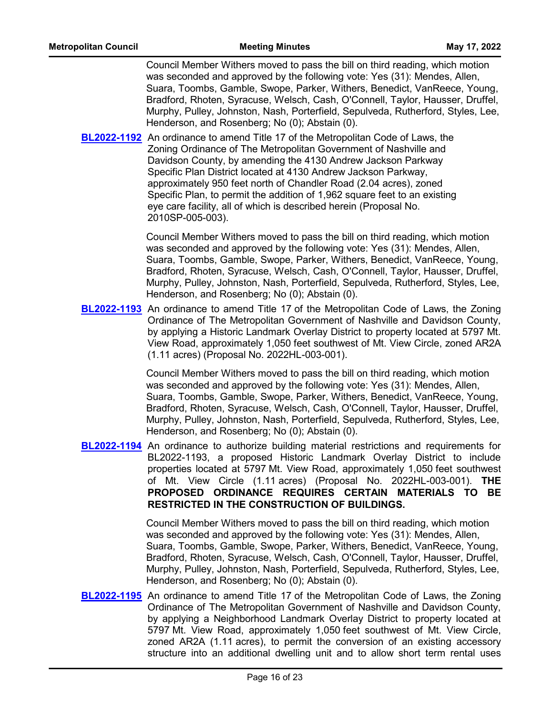Council Member Withers moved to pass the bill on third reading, which motion was seconded and approved by the following vote: Yes (31): Mendes, Allen, Suara, Toombs, Gamble, Swope, Parker, Withers, Benedict, VanReece, Young, Bradford, Rhoten, Syracuse, Welsch, Cash, O'Connell, Taylor, Hausser, Druffel, Murphy, Pulley, Johnston, Nash, Porterfield, Sepulveda, Rutherford, Styles, Lee, Henderson, and Rosenberg; No (0); Abstain (0).

**[BL2022-1192](http://nashville.legistar.com/gateway.aspx?m=l&id=/matter.aspx?key=14296)** An ordinance to amend Title 17 of the Metropolitan Code of Laws, the Zoning Ordinance of The Metropolitan Government of Nashville and Davidson County, by amending the 4130 Andrew Jackson Parkway Specific Plan District located at 4130 Andrew Jackson Parkway, approximately 950 feet north of Chandler Road (2.04 acres), zoned Specific Plan, to permit the addition of 1,962 square feet to an existing eye care facility, all of which is described herein (Proposal No. 2010SP-005-003).

> Council Member Withers moved to pass the bill on third reading, which motion was seconded and approved by the following vote: Yes (31): Mendes, Allen, Suara, Toombs, Gamble, Swope, Parker, Withers, Benedict, VanReece, Young, Bradford, Rhoten, Syracuse, Welsch, Cash, O'Connell, Taylor, Hausser, Druffel, Murphy, Pulley, Johnston, Nash, Porterfield, Sepulveda, Rutherford, Styles, Lee, Henderson, and Rosenberg; No (0); Abstain (0).

**[BL2022-1193](http://nashville.legistar.com/gateway.aspx?m=l&id=/matter.aspx?key=14339)** An ordinance to amend Title 17 of the Metropolitan Code of Laws, the Zoning Ordinance of The Metropolitan Government of Nashville and Davidson County, by applying a Historic Landmark Overlay District to property located at 5797 Mt. View Road, approximately 1,050 feet southwest of Mt. View Circle, zoned AR2A (1.11 acres) (Proposal No. 2022HL-003-001).

> Council Member Withers moved to pass the bill on third reading, which motion was seconded and approved by the following vote: Yes (31): Mendes, Allen, Suara, Toombs, Gamble, Swope, Parker, Withers, Benedict, VanReece, Young, Bradford, Rhoten, Syracuse, Welsch, Cash, O'Connell, Taylor, Hausser, Druffel, Murphy, Pulley, Johnston, Nash, Porterfield, Sepulveda, Rutherford, Styles, Lee, Henderson, and Rosenberg; No (0); Abstain (0).

**[BL2022-1194](http://nashville.legistar.com/gateway.aspx?m=l&id=/matter.aspx?key=14340)** An ordinance to authorize building material restrictions and requirements for BL2022-1193, a proposed Historic Landmark Overlay District to include properties located at 5797 Mt. View Road, approximately 1,050 feet southwest of Mt. View Circle (1.11 acres) (Proposal No. 2022HL-003-001). **THE PROPOSED ORDINANCE REQUIRES CERTAIN MATERIALS TO BE RESTRICTED IN THE CONSTRUCTION OF BUILDINGS.**

> Council Member Withers moved to pass the bill on third reading, which motion was seconded and approved by the following vote: Yes (31): Mendes, Allen, Suara, Toombs, Gamble, Swope, Parker, Withers, Benedict, VanReece, Young, Bradford, Rhoten, Syracuse, Welsch, Cash, O'Connell, Taylor, Hausser, Druffel, Murphy, Pulley, Johnston, Nash, Porterfield, Sepulveda, Rutherford, Styles, Lee, Henderson, and Rosenberg; No (0); Abstain (0).

**[BL2022-1195](http://nashville.legistar.com/gateway.aspx?m=l&id=/matter.aspx?key=14338)** An ordinance to amend Title 17 of the Metropolitan Code of Laws, the Zoning Ordinance of The Metropolitan Government of Nashville and Davidson County, by applying a Neighborhood Landmark Overlay District to property located at 5797 Mt. View Road, approximately 1,050 feet southwest of Mt. View Circle, zoned AR2A (1.11 acres), to permit the conversion of an existing accessory structure into an additional dwelling unit and to allow short term rental uses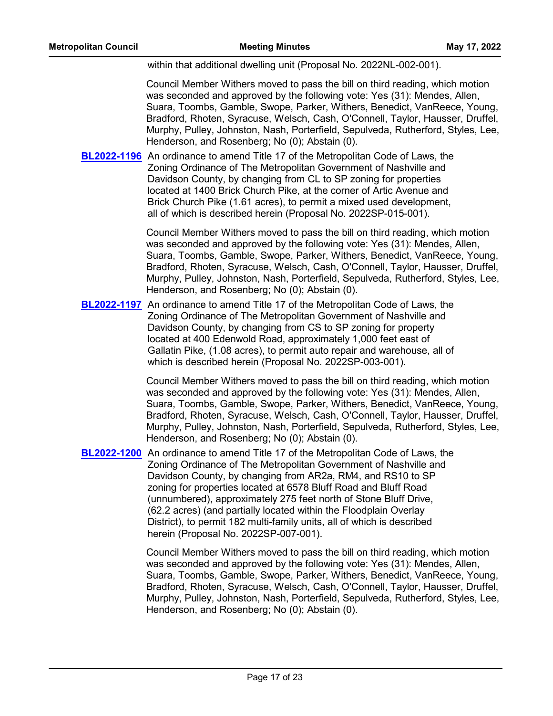within that additional dwelling unit (Proposal No. 2022NL-002-001).

Council Member Withers moved to pass the bill on third reading, which motion was seconded and approved by the following vote: Yes (31): Mendes, Allen, Suara, Toombs, Gamble, Swope, Parker, Withers, Benedict, VanReece, Young, Bradford, Rhoten, Syracuse, Welsch, Cash, O'Connell, Taylor, Hausser, Druffel, Murphy, Pulley, Johnston, Nash, Porterfield, Sepulveda, Rutherford, Styles, Lee, Henderson, and Rosenberg; No (0); Abstain (0).

**[BL2022-1196](http://nashville.legistar.com/gateway.aspx?m=l&id=/matter.aspx?key=14300)** An ordinance to amend Title 17 of the Metropolitan Code of Laws, the Zoning Ordinance of The Metropolitan Government of Nashville and Davidson County, by changing from CL to SP zoning for properties located at 1400 Brick Church Pike, at the corner of Artic Avenue and Brick Church Pike (1.61 acres), to permit a mixed used development, all of which is described herein (Proposal No. 2022SP-015-001).

> Council Member Withers moved to pass the bill on third reading, which motion was seconded and approved by the following vote: Yes (31): Mendes, Allen, Suara, Toombs, Gamble, Swope, Parker, Withers, Benedict, VanReece, Young, Bradford, Rhoten, Syracuse, Welsch, Cash, O'Connell, Taylor, Hausser, Druffel, Murphy, Pulley, Johnston, Nash, Porterfield, Sepulveda, Rutherford, Styles, Lee, Henderson, and Rosenberg; No (0); Abstain (0).

**[BL2022-1197](http://nashville.legistar.com/gateway.aspx?m=l&id=/matter.aspx?key=14308)** An ordinance to amend Title 17 of the Metropolitan Code of Laws, the Zoning Ordinance of The Metropolitan Government of Nashville and Davidson County, by changing from CS to SP zoning for property located at 400 Edenwold Road, approximately 1,000 feet east of Gallatin Pike, (1.08 acres), to permit auto repair and warehouse, all of which is described herein (Proposal No. 2022SP-003-001).

> Council Member Withers moved to pass the bill on third reading, which motion was seconded and approved by the following vote: Yes (31): Mendes, Allen, Suara, Toombs, Gamble, Swope, Parker, Withers, Benedict, VanReece, Young, Bradford, Rhoten, Syracuse, Welsch, Cash, O'Connell, Taylor, Hausser, Druffel, Murphy, Pulley, Johnston, Nash, Porterfield, Sepulveda, Rutherford, Styles, Lee, Henderson, and Rosenberg; No (0); Abstain (0).

**[BL2022-1200](http://nashville.legistar.com/gateway.aspx?m=l&id=/matter.aspx?key=14298)** An ordinance to amend Title 17 of the Metropolitan Code of Laws, the Zoning Ordinance of The Metropolitan Government of Nashville and Davidson County, by changing from AR2a, RM4, and RS10 to SP zoning for properties located at 6578 Bluff Road and Bluff Road (unnumbered), approximately 275 feet north of Stone Bluff Drive, (62.2 acres) (and partially located within the Floodplain Overlay District), to permit 182 multi-family units, all of which is described herein (Proposal No. 2022SP-007-001).

> Council Member Withers moved to pass the bill on third reading, which motion was seconded and approved by the following vote: Yes (31): Mendes, Allen, Suara, Toombs, Gamble, Swope, Parker, Withers, Benedict, VanReece, Young, Bradford, Rhoten, Syracuse, Welsch, Cash, O'Connell, Taylor, Hausser, Druffel, Murphy, Pulley, Johnston, Nash, Porterfield, Sepulveda, Rutherford, Styles, Lee, Henderson, and Rosenberg; No (0); Abstain (0).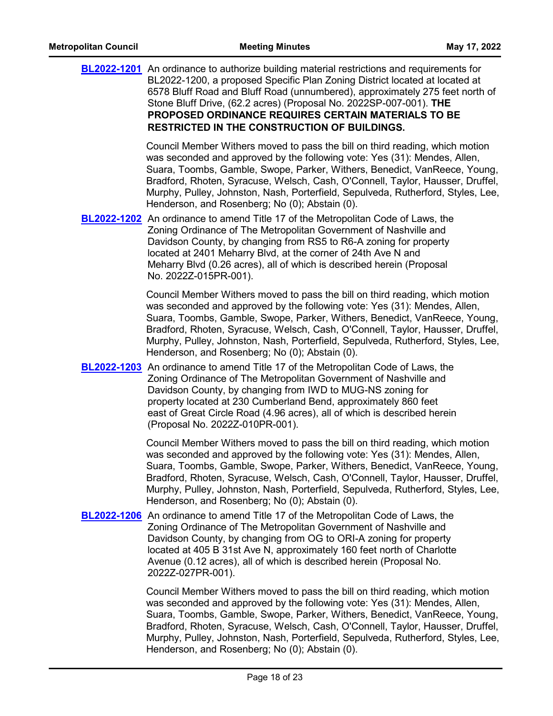| <b>BL2022-1201</b> An ordinance to authorize building material restrictions and requirements for<br>BL2022-1200, a proposed Specific Plan Zoning District located at located at<br>6578 Bluff Road and Bluff Road (unnumbered), approximately 275 feet north of<br>Stone Bluff Drive, (62.2 acres) (Proposal No. 2022SP-007-001). THE<br>PROPOSED ORDINANCE REQUIRES CERTAIN MATERIALS TO BE<br><b>RESTRICTED IN THE CONSTRUCTION OF BUILDINGS.</b>            |
|----------------------------------------------------------------------------------------------------------------------------------------------------------------------------------------------------------------------------------------------------------------------------------------------------------------------------------------------------------------------------------------------------------------------------------------------------------------|
| Council Member Withers moved to pass the bill on third reading, which motion<br>was seconded and approved by the following vote: Yes (31): Mendes, Allen,<br>Suara, Toombs, Gamble, Swope, Parker, Withers, Benedict, VanReece, Young,<br>Bradford, Rhoten, Syracuse, Welsch, Cash, O'Connell, Taylor, Hausser, Druffel,<br>Murphy, Pulley, Johnston, Nash, Porterfield, Sepulveda, Rutherford, Styles, Lee,<br>Henderson, and Rosenberg; No (0); Abstain (0). |
| <b>BL2022-1202</b> An ordinance to amend Title 17 of the Metropolitan Code of Laws, the<br>Zoning Ordinance of The Metropolitan Government of Nashville and<br>Davidson County, by changing from RS5 to R6-A zoning for property<br>located at 2401 Meharry Blvd, at the corner of 24th Ave N and<br>Meharry Blvd (0.26 acres), all of which is described herein (Proposal<br>No. 2022Z-015PR-001).                                                            |
| Council Member Withers moved to pass the bill on third reading, which motion<br>was seconded and approved by the following vote: Yes (31): Mendes, Allen,<br>Suara, Toombs, Gamble, Swope, Parker, Withers, Benedict, VanReece, Young,<br>Bradford, Rhoten, Syracuse, Welsch, Cash, O'Connell, Taylor, Hausser, Druffel,<br>Murphy, Pulley, Johnston, Nash, Porterfield, Sepulveda, Rutherford, Styles, Lee,<br>Henderson, and Rosenberg; No (0); Abstain (0). |
| <b>BL2022-1203</b> An ordinance to amend Title 17 of the Metropolitan Code of Laws, the<br>Zoning Ordinance of The Metropolitan Government of Nashville and<br>Davidson County, by changing from IWD to MUG-NS zoning for<br>property located at 230 Cumberland Bend, approximately 860 feet<br>east of Great Circle Road (4.96 acres), all of which is described herein<br>(Proposal No. 2022Z-010PR-001).                                                    |
| Council Member Withers moved to pass the bill on third reading, which motion<br>was seconded and approved by the following vote: Yes (31): Mendes, Allen,<br>Suara, Toombs, Gamble, Swope, Parker, Withers, Benedict, VanReece, Young,<br>Bradford, Rhoten, Syracuse, Welsch, Cash, O'Connell, Taylor, Hausser, Druffel,<br>Murphy, Pulley, Johnston, Nash, Porterfield, Sepulveda, Rutherford, Styles, Lee,<br>Henderson, and Rosenberg; No (0); Abstain (0). |
| <b>BL2022-1206</b> An ordinance to amend Title 17 of the Metropolitan Code of Laws, the<br>Zoning Ordinance of The Metropolitan Government of Nashville and<br>Davidson County, by changing from OG to ORI-A zoning for property<br>located at 405 B 31st Ave N, approximately 160 feet north of Charlotte<br>Avenue (0.12 acres), all of which is described herein (Proposal No.<br>2022Z-027PR-001).                                                         |
| Council Member Withers moved to pass the bill on third reading, which motion<br>was seconded and approved by the following vote: Yes (31): Mendes, Allen,<br>Suara, Toombs, Gamble, Swope, Parker, Withers, Benedict, VanReece, Young,<br>Bradford, Rhoten, Syracuse, Welsch, Cash, O'Connell, Taylor, Hausser, Druffel,                                                                                                                                       |

Henderson, and Rosenberg; No (0); Abstain (0).

Murphy, Pulley, Johnston, Nash, Porterfield, Sepulveda, Rutherford, Styles, Lee,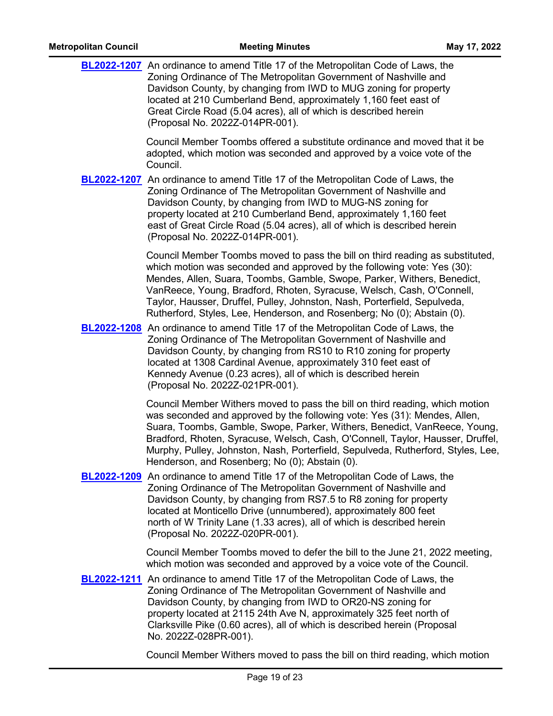| <b>Metropolitan Council</b> | <b>Meeting Minutes</b>                                                                                                                                                                                                                                                                                                                                                                                                                                               | May 17, 2022 |
|-----------------------------|----------------------------------------------------------------------------------------------------------------------------------------------------------------------------------------------------------------------------------------------------------------------------------------------------------------------------------------------------------------------------------------------------------------------------------------------------------------------|--------------|
|                             | <b>BL2022-1207</b> An ordinance to amend Title 17 of the Metropolitan Code of Laws, the<br>Zoning Ordinance of The Metropolitan Government of Nashville and<br>Davidson County, by changing from IWD to MUG zoning for property<br>located at 210 Cumberland Bend, approximately 1,160 feet east of<br>Great Circle Road (5.04 acres), all of which is described herein<br>(Proposal No. 2022Z-014PR-001).                                                           |              |
|                             | Council Member Toombs offered a substitute ordinance and moved that it be<br>adopted, which motion was seconded and approved by a voice vote of the<br>Council.                                                                                                                                                                                                                                                                                                      |              |
|                             | <b>BL2022-1207</b> An ordinance to amend Title 17 of the Metropolitan Code of Laws, the<br>Zoning Ordinance of The Metropolitan Government of Nashville and<br>Davidson County, by changing from IWD to MUG-NS zoning for<br>property located at 210 Cumberland Bend, approximately 1,160 feet<br>east of Great Circle Road (5.04 acres), all of which is described herein<br>(Proposal No. 2022Z-014PR-001).                                                        |              |
|                             | Council Member Toombs moved to pass the bill on third reading as substituted,<br>which motion was seconded and approved by the following vote: Yes (30):<br>Mendes, Allen, Suara, Toombs, Gamble, Swope, Parker, Withers, Benedict,<br>VanReece, Young, Bradford, Rhoten, Syracuse, Welsch, Cash, O'Connell,<br>Taylor, Hausser, Druffel, Pulley, Johnston, Nash, Porterfield, Sepulveda,<br>Rutherford, Styles, Lee, Henderson, and Rosenberg; No (0); Abstain (0). |              |
|                             | <b>BL2022-1208</b> An ordinance to amend Title 17 of the Metropolitan Code of Laws, the<br>Zoning Ordinance of The Metropolitan Government of Nashville and<br>Davidson County, by changing from RS10 to R10 zoning for property<br>located at 1308 Cardinal Avenue, approximately 310 feet east of<br>Kennedy Avenue (0.23 acres), all of which is described herein<br>(Proposal No. 2022Z-021PR-001).                                                              |              |
|                             | Council Member Withers moved to pass the bill on third reading, which motion<br>was seconded and approved by the following vote: Yes (31): Mendes, Allen,<br>Suara, Toombs, Gamble, Swope, Parker, Withers, Benedict, VanReece, Young,<br>Bradford, Rhoten, Syracuse, Welsch, Cash, O'Connell, Taylor, Hausser, Druffel,<br>Murphy, Pulley, Johnston, Nash, Porterfield, Sepulveda, Rutherford, Styles, Lee,<br>Henderson, and Rosenberg; No (0); Abstain (0).       |              |
|                             | <b>BL2022-1209</b> An ordinance to amend Title 17 of the Metropolitan Code of Laws, the<br>Zoning Ordinance of The Metropolitan Government of Nashville and<br>Davidson County, by changing from RS7.5 to R8 zoning for property<br>located at Monticello Drive (unnumbered), approximately 800 feet<br>north of W Trinity Lane (1.33 acres), all of which is described herein<br>(Proposal No. 2022Z-020PR-001).                                                    |              |
|                             | Council Member Toombs moved to defer the bill to the June 21, 2022 meeting,<br>which motion was seconded and approved by a voice vote of the Council.                                                                                                                                                                                                                                                                                                                |              |
|                             | <b>BL2022-1211</b> An ordinance to amend Title 17 of the Metropolitan Code of Laws, the<br>Zoning Ordinance of The Metropolitan Government of Nashville and<br>Davidson County, by changing from IWD to OR20-NS zoning for<br>property located at 2115 24th Ave N, approximately 325 feet north of<br>Clarksville Pike (0.60 acres), all of which is described herein (Proposal<br>No. 2022Z-028PR-001).                                                             |              |
|                             | Council Member Withers moved to pass the bill on third reading, which motion                                                                                                                                                                                                                                                                                                                                                                                         |              |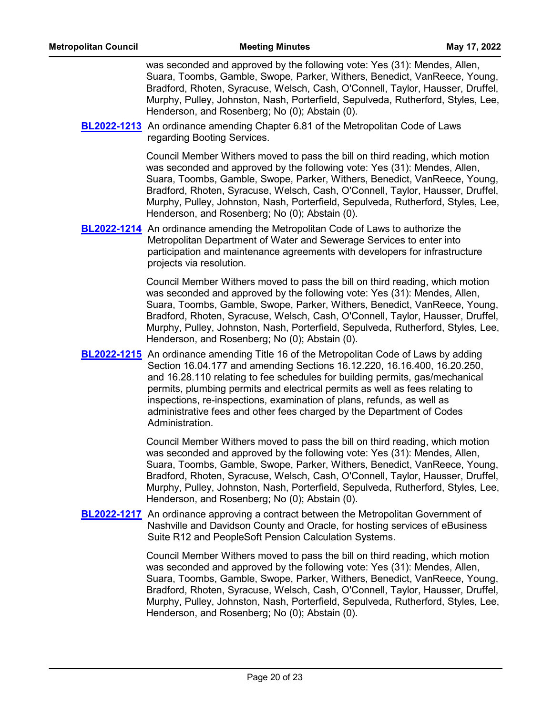was seconded and approved by the following vote: Yes (31): Mendes, Allen, Suara, Toombs, Gamble, Swope, Parker, Withers, Benedict, VanReece, Young, Bradford, Rhoten, Syracuse, Welsch, Cash, O'Connell, Taylor, Hausser, Druffel, Murphy, Pulley, Johnston, Nash, Porterfield, Sepulveda, Rutherford, Styles, Lee, Henderson, and Rosenberg; No (0); Abstain (0).

**[BL2022-1213](http://nashville.legistar.com/gateway.aspx?m=l&id=/matter.aspx?key=14393)** An ordinance amending Chapter 6.81 of the Metropolitan Code of Laws regarding Booting Services.

> Council Member Withers moved to pass the bill on third reading, which motion was seconded and approved by the following vote: Yes (31): Mendes, Allen, Suara, Toombs, Gamble, Swope, Parker, Withers, Benedict, VanReece, Young, Bradford, Rhoten, Syracuse, Welsch, Cash, O'Connell, Taylor, Hausser, Druffel, Murphy, Pulley, Johnston, Nash, Porterfield, Sepulveda, Rutherford, Styles, Lee, Henderson, and Rosenberg; No (0); Abstain (0).

**[BL2022-1214](http://nashville.legistar.com/gateway.aspx?m=l&id=/matter.aspx?key=14354)** An ordinance amending the Metropolitan Code of Laws to authorize the Metropolitan Department of Water and Sewerage Services to enter into participation and maintenance agreements with developers for infrastructure projects via resolution.

> Council Member Withers moved to pass the bill on third reading, which motion was seconded and approved by the following vote: Yes (31): Mendes, Allen, Suara, Toombs, Gamble, Swope, Parker, Withers, Benedict, VanReece, Young, Bradford, Rhoten, Syracuse, Welsch, Cash, O'Connell, Taylor, Hausser, Druffel, Murphy, Pulley, Johnston, Nash, Porterfield, Sepulveda, Rutherford, Styles, Lee, Henderson, and Rosenberg; No (0); Abstain (0).

**[BL2022-1215](http://nashville.legistar.com/gateway.aspx?m=l&id=/matter.aspx?key=14378)** An ordinance amending Title 16 of the Metropolitan Code of Laws by adding Section 16.04.177 and amending Sections 16.12.220, 16.16.400, 16.20.250, and 16.28.110 relating to fee schedules for building permits, gas/mechanical permits, plumbing permits and electrical permits as well as fees relating to inspections, re-inspections, examination of plans, refunds, as well as administrative fees and other fees charged by the Department of Codes Administration.

> Council Member Withers moved to pass the bill on third reading, which motion was seconded and approved by the following vote: Yes (31): Mendes, Allen, Suara, Toombs, Gamble, Swope, Parker, Withers, Benedict, VanReece, Young, Bradford, Rhoten, Syracuse, Welsch, Cash, O'Connell, Taylor, Hausser, Druffel, Murphy, Pulley, Johnston, Nash, Porterfield, Sepulveda, Rutherford, Styles, Lee, Henderson, and Rosenberg; No (0); Abstain (0).

**[BL2022-1217](http://nashville.legistar.com/gateway.aspx?m=l&id=/matter.aspx?key=14368)** An ordinance approving a contract between the Metropolitan Government of Nashville and Davidson County and Oracle, for hosting services of eBusiness Suite R12 and PeopleSoft Pension Calculation Systems.

> Council Member Withers moved to pass the bill on third reading, which motion was seconded and approved by the following vote: Yes (31): Mendes, Allen, Suara, Toombs, Gamble, Swope, Parker, Withers, Benedict, VanReece, Young, Bradford, Rhoten, Syracuse, Welsch, Cash, O'Connell, Taylor, Hausser, Druffel, Murphy, Pulley, Johnston, Nash, Porterfield, Sepulveda, Rutherford, Styles, Lee, Henderson, and Rosenberg; No (0); Abstain (0).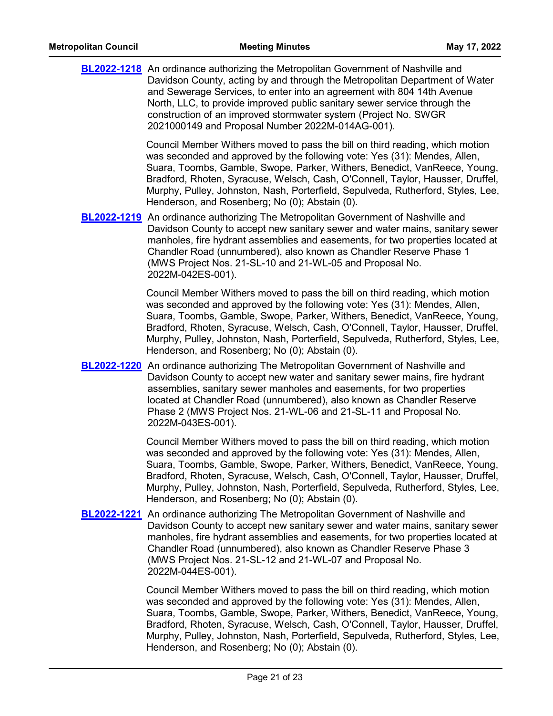| <b>BL2022-1218</b> An ordinance authorizing the Metropolitan Government of Nashville and<br>Davidson County, acting by and through the Metropolitan Department of Water<br>and Sewerage Services, to enter into an agreement with 804 14th Avenue<br>North, LLC, to provide improved public sanitary sewer service through the<br>construction of an improved stormwater system (Project No. SWGR<br>2021000149 and Proposal Number 2022M-014AG-001).          |
|----------------------------------------------------------------------------------------------------------------------------------------------------------------------------------------------------------------------------------------------------------------------------------------------------------------------------------------------------------------------------------------------------------------------------------------------------------------|
| Council Member Withers moved to pass the bill on third reading, which motion<br>was seconded and approved by the following vote: Yes (31): Mendes, Allen,<br>Suara, Toombs, Gamble, Swope, Parker, Withers, Benedict, VanReece, Young,<br>Bradford, Rhoten, Syracuse, Welsch, Cash, O'Connell, Taylor, Hausser, Druffel,<br>Murphy, Pulley, Johnston, Nash, Porterfield, Sepulveda, Rutherford, Styles, Lee,<br>Henderson, and Rosenberg; No (0); Abstain (0). |
| <b>BL2022-1219</b> An ordinance authorizing The Metropolitan Government of Nashville and<br>Davidson County to accept new sanitary sewer and water mains, sanitary sewer<br>manholes, fire hydrant assemblies and easements, for two properties located at<br>Chandler Road (unnumbered), also known as Chandler Reserve Phase 1<br>(MWS Project Nos. 21-SL-10 and 21-WL-05 and Proposal No.<br>2022M-042ES-001).                                              |
| Council Member Withers moved to pass the bill on third reading, which motion<br>was seconded and approved by the following vote: Yes (31): Mendes, Allen,<br>Suara, Toombs, Gamble, Swope, Parker, Withers, Benedict, VanReece, Young,<br>Bradford, Rhoten, Syracuse, Welsch, Cash, O'Connell, Taylor, Hausser, Druffel,<br>Murphy, Pulley, Johnston, Nash, Porterfield, Sepulveda, Rutherford, Styles, Lee,<br>Henderson, and Rosenberg; No (0); Abstain (0). |
| <b>BL2022-1220</b> An ordinance authorizing The Metropolitan Government of Nashville and<br>Davidson County to accept new water and sanitary sewer mains, fire hydrant<br>assemblies, sanitary sewer manholes and easements, for two properties<br>located at Chandler Road (unnumbered), also known as Chandler Reserve<br>Phase 2 (MWS Project Nos. 21-WL-06 and 21-SL-11 and Proposal No.<br>2022M-043ES-001).                                              |
| Council Member Withers moved to pass the bill on third reading, which motion<br>was seconded and approved by the following vote: Yes (31): Mendes, Allen,<br>Suara, Toombs, Gamble, Swope, Parker, Withers, Benedict, VanReece, Young,<br>Bradford, Rhoten, Syracuse, Welsch, Cash, O'Connell, Taylor, Hausser, Druffel,<br>Murphy, Pulley, Johnston, Nash, Porterfield, Sepulveda, Rutherford, Styles, Lee,<br>Henderson, and Rosenberg; No (0); Abstain (0). |
| <b>BL2022-1221</b> An ordinance authorizing The Metropolitan Government of Nashville and<br>Davidson County to accept new sanitary sewer and water mains, sanitary sewer<br>manholes, fire hydrant assemblies and easements, for two properties located at<br>Chandler Road (unnumbered), also known as Chandler Reserve Phase 3<br>(MWS Project Nos. 21-SL-12 and 21-WL-07 and Proposal No.<br>2022M-044ES-001).                                              |
| Council Member Withers moved to pass the bill on third reading, which motion<br>was seconded and approved by the following vote: Yes (31): Mendes, Allen,<br>Suara Toombs Gamble Swope Parker Withers Benedict VanReece Young                                                                                                                                                                                                                                  |

Suara, Toombs, Gamble, Swope, Parker, Withers, Benedict, VanReece, Young, Bradford, Rhoten, Syracuse, Welsch, Cash, O'Connell, Taylor, Hausser, Druffel, Murphy, Pulley, Johnston, Nash, Porterfield, Sepulveda, Rutherford, Styles, Lee, Henderson, and Rosenberg; No (0); Abstain (0).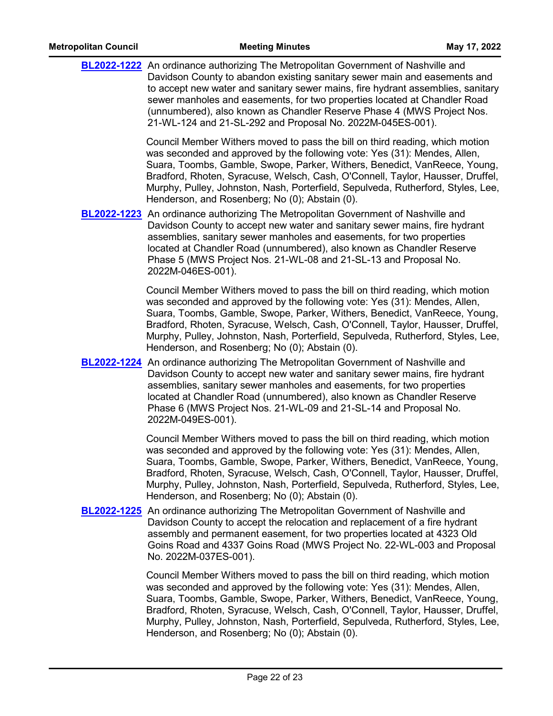| <b>BL2022-1222</b> An ordinance authorizing The Metropolitan Government of Nashville and<br>Davidson County to abandon existing sanitary sewer main and easements and<br>to accept new water and sanitary sewer mains, fire hydrant assemblies, sanitary<br>sewer manholes and easements, for two properties located at Chandler Road<br>(unnumbered), also known as Chandler Reserve Phase 4 (MWS Project Nos.<br>21-WL-124 and 21-SL-292 and Proposal No. 2022M-045ES-001). |
|-------------------------------------------------------------------------------------------------------------------------------------------------------------------------------------------------------------------------------------------------------------------------------------------------------------------------------------------------------------------------------------------------------------------------------------------------------------------------------|
| Council Member Withers moved to pass the bill on third reading, which motion<br>was seconded and approved by the following vote: Yes (31): Mendes, Allen,<br>Suara, Toombs, Gamble, Swope, Parker, Withers, Benedict, VanReece, Young,<br>Bradford, Rhoten, Syracuse, Welsch, Cash, O'Connell, Taylor, Hausser, Druffel,<br>Murphy, Pulley, Johnston, Nash, Porterfield, Sepulveda, Rutherford, Styles, Lee,<br>Henderson, and Rosenberg; No (0); Abstain (0).                |
| <b>BL2022-1223</b> An ordinance authorizing The Metropolitan Government of Nashville and<br>Davidson County to accept new water and sanitary sewer mains, fire hydrant<br>assemblies, sanitary sewer manholes and easements, for two properties<br>located at Chandler Road (unnumbered), also known as Chandler Reserve<br>Phase 5 (MWS Project Nos. 21-WL-08 and 21-SL-13 and Proposal No.<br>2022M-046ES-001).                                                             |
| Council Member Withers moved to pass the bill on third reading, which motion<br>was seconded and approved by the following vote: Yes (31): Mendes, Allen,<br>Suara, Toombs, Gamble, Swope, Parker, Withers, Benedict, VanReece, Young,<br>Bradford, Rhoten, Syracuse, Welsch, Cash, O'Connell, Taylor, Hausser, Druffel,<br>Murphy, Pulley, Johnston, Nash, Porterfield, Sepulveda, Rutherford, Styles, Lee,<br>Henderson, and Rosenberg; No (0); Abstain (0).                |
| <b>BL2022-1224</b> An ordinance authorizing The Metropolitan Government of Nashville and<br>Davidson County to accept new water and sanitary sewer mains, fire hydrant<br>assemblies, sanitary sewer manholes and easements, for two properties<br>located at Chandler Road (unnumbered), also known as Chandler Reserve<br>Phase 6 (MWS Project Nos. 21-WL-09 and 21-SL-14 and Proposal No.<br>2022M-049ES-001).                                                             |
| Council Member Withers moved to pass the bill on third reading, which motion<br>was seconded and approved by the following vote: Yes (31): Mendes, Allen,<br>Suara, Toombs, Gamble, Swope, Parker, Withers, Benedict, VanReece, Young,<br>Bradford, Rhoten, Syracuse, Welsch, Cash, O'Connell, Taylor, Hausser, Druffel,<br>Murphy, Pulley, Johnston, Nash, Porterfield, Sepulveda, Rutherford, Styles, Lee,<br>Henderson, and Rosenberg; No (0); Abstain (0).                |
| <b>BL2022-1225</b> An ordinance authorizing The Metropolitan Government of Nashville and<br>Davidson County to accept the relocation and replacement of a fire hydrant<br>assembly and permanent easement, for two properties located at 4323 Old<br>Goins Road and 4337 Goins Road (MWS Project No. 22-WL-003 and Proposal<br>No. 2022M-037ES-001).                                                                                                                          |
| Council Member Withers moved to pass the bill on third reading, which motion<br>was seconded and approved by the following vote: Yes (31): Mendes, Allen,<br>Suara, Toombs, Gamble, Swope, Parker, Withers, Benedict, VanReece, Young,<br>Bradford, Rhoten, Syracuse, Welsch, Cash, O'Connell, Taylor, Hausser, Druffel,<br>Murphy, Pulley, Johnston, Nash, Porterfield, Sepulveda, Rutherford, Styles, Lee,<br>Henderson, and Rosenberg; No (0); Abstain (0).                |